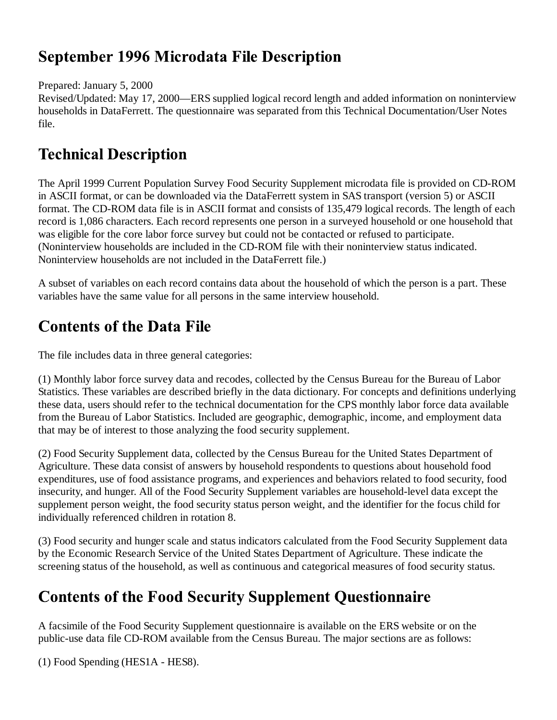## **September 1996 Microdata File Description**

Prepared: January 5, 2000

Revised/Updated: May 17, 2000—ERS supplied logical record length and added information on noninterview households in DataFerrett. The questionnaire was separated from this Technical Documentation/User Notes file.

## **Technical Description**

The April 1999 Current Population Survey Food Security Supplement microdata file is provided on CD-ROM in ASCII format, or can be downloaded via the DataFerrett system in SAS transport (version 5) or ASCII format. The CD-ROM data file is in ASCII format and consists of 135,479 logical records. The length of each record is 1,086 characters. Each record represents one person in a surveyed household or one household that was eligible for the core labor force survey but could not be contacted or refused to participate. (Noninterview households are included in the CD-ROM file with their noninterview status indicated. Noninterview households are not included in the DataFerrett file.)

A subset of variables on each record contains data about the household of which the person is a part. These variables have the same value for all persons in the same interview household.

# **Contents of the Data File**

The file includes data in three general categories:

(1) Monthly labor force survey data and recodes, collected by the Census Bureau for the Bureau of Labor Statistics. These variables are described briefly in the data dictionary. For concepts and definitions underlying these data, users should refer to the technical documentation for the CPS monthly labor force data available from the Bureau of Labor Statistics. Included are geographic, demographic, income, and employment data that may be of interest to those analyzing the food security supplement.

(2) Food Security Supplement data, collected by the Census Bureau for the United States Department of Agriculture. These data consist of answers by household respondents to questions about household food expenditures, use of food assistance programs, and experiences and behaviors related to food security, food insecurity, and hunger. All of the Food Security Supplement variables are household-level data except the supplement person weight, the food security status person weight, and the identifier for the focus child for individually referenced children in rotation 8.

(3) Food security and hunger scale and status indicators calculated from the Food Security Supplement data by the Economic Research Service of the United States Department of Agriculture. These indicate the screening status of the household, as well as continuous and categorical measures of food security status.

# **Contents of the Food Security Supplement Questionnaire**

A facsimile of the Food Security Supplement questionnaire is available on the ERS website or on the public-use data file CD-ROM available from the Census Bureau. The major sections are as follows:

(1) Food Spending (HES1A - HES8).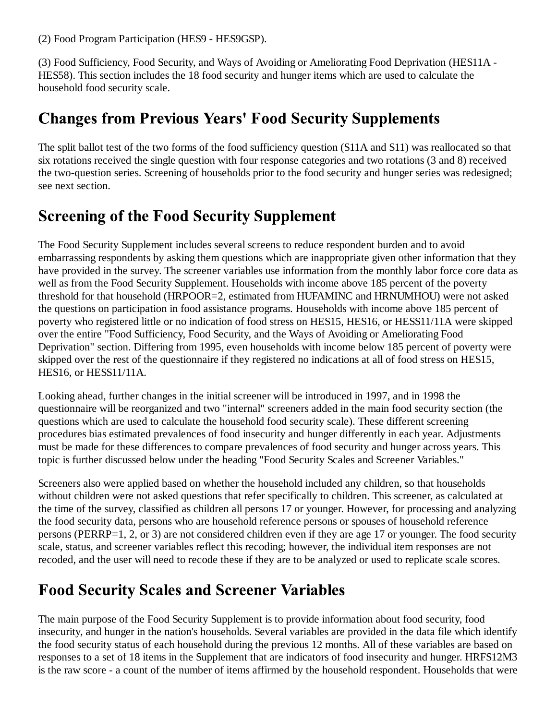(2) Food Program Participation (HES9 - HES9GSP).

(3) Food Sufficiency, Food Security, and Ways of Avoiding or Ameliorating Food Deprivation (HES11A - HES58). This section includes the 18 food security and hunger items which are used to calculate the household food security scale.

#### **Changes from Previous Years' Food Security Supplements**

The split ballot test of the two forms of the food sufficiency question (S11A and S11) was reallocated so that six rotations received the single question with four response categories and two rotations (3 and 8) received the two-question series. Screening of households prior to the food security and hunger series was redesigned; see next section.

# **Screening of the Food Security Supplement**

The Food Security Supplement includes several screens to reduce respondent burden and to avoid embarrassing respondents by asking them questions which are inappropriate given other information that they have provided in the survey. The screener variables use information from the monthly labor force core data as well as from the Food Security Supplement. Households with income above 185 percent of the poverty threshold for that household (HRPOOR=2, estimated from HUFAMINC and HRNUMHOU) were not asked the questions on participation in food assistance programs. Households with income above 185 percent of poverty who registered little or no indication of food stress on HES15, HES16, or HESS11/11A were skipped over the entire "Food Sufficiency, Food Security, and the Ways of Avoiding or Ameliorating Food Deprivation" section. Differing from 1995, even households with income below 185 percent of poverty were skipped over the rest of the questionnaire if they registered no indications at all of food stress on HES15, HES16, or HESS11/11A.

Looking ahead, further changes in the initial screener will be introduced in 1997, and in 1998 the questionnaire will be reorganized and two "internal" screeners added in the main food security section (the questions which are used to calculate the household food security scale). These different screening procedures bias estimated prevalences of food insecurity and hunger differently in each year. Adjustments must be made for these differences to compare prevalences of food security and hunger across years. This topic is further discussed below under the heading "Food Security Scales and Screener Variables."

Screeners also were applied based on whether the household included any children, so that households without children were not asked questions that refer specifically to children. This screener, as calculated at the time of the survey, classified as children all persons 17 or younger. However, for processing and analyzing the food security data, persons who are household reference persons or spouses of household reference persons (PERRP=1, 2, or 3) are not considered children even if they are age 17 or younger. The food security scale, status, and screener variables reflect this recoding; however, the individual item responses are not recoded, and the user will need to recode these if they are to be analyzed or used to replicate scale scores.

# **Food Security Scales and Screener Variables**

The main purpose of the Food Security Supplement is to provide information about food security, food insecurity, and hunger in the nation's households. Several variables are provided in the data file which identify the food security status of each household during the previous 12 months. All of these variables are based on responses to a set of 18 items in the Supplement that are indicators of food insecurity and hunger. HRFS12M3 is the raw score - a count of the number of items affirmed by the household respondent. Households that were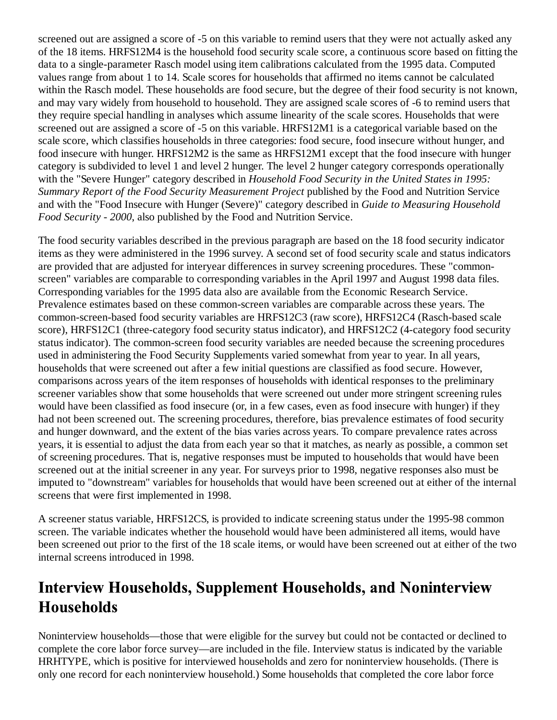screened out are assigned a score of -5 on this variable to remind users that they were not actually asked any of the 18 items. HRFS12M4 is the household food security scale score, a continuous score based on fitting the data to a single-parameter Rasch model using item calibrations calculated from the 1995 data. Computed values range from about 1 to 14. Scale scores for households that affirmed no items cannot be calculated within the Rasch model. These households are food secure, but the degree of their food security is not known, and may vary widely from household to household. They are assigned scale scores of -6 to remind users that they require special handling in analyses which assume linearity of the scale scores. Households that were screened out are assigned a score of -5 on this variable. HRFS12M1 is a categorical variable based on the scale score, which classifies households in three categories: food secure, food insecure without hunger, and food insecure with hunger. HRFS12M2 is the same as HRFS12M1 except that the food insecure with hunger category is subdivided to level 1 and level 2 hunger. The level 2 hunger category corresponds operationally with the "Severe Hunger" category described in *Household Food Security in the United States in 1995: Summary Report of the Food Security Measurement Project* published by the Food and Nutrition Service and with the "Food Insecure with Hunger (Severe)" category described in *Guide to Measuring Household Food Security - 2000*, also published by the Food and Nutrition Service.

The food security variables described in the previous paragraph are based on the 18 food security indicator items as they were administered in the 1996 survey. A second set of food security scale and status indicators are provided that are adjusted for interyear differences in survey screening procedures. These "commonscreen" variables are comparable to corresponding variables in the April 1997 and August 1998 data files. Corresponding variables for the 1995 data also are available from the Economic Research Service. Prevalence estimates based on these common-screen variables are comparable across these years. The common-screen-based food security variables are HRFS12C3 (raw score), HRFS12C4 (Rasch-based scale score), HRFS12C1 (three-category food security status indicator), and HRFS12C2 (4-category food security status indicator). The common-screen food security variables are needed because the screening procedures used in administering the Food Security Supplements varied somewhat from year to year. In all years, households that were screened out after a few initial questions are classified as food secure. However, comparisons across years of the item responses of households with identical responses to the preliminary screener variables show that some households that were screened out under more stringent screening rules would have been classified as food insecure (or, in a few cases, even as food insecure with hunger) if they had not been screened out. The screening procedures, therefore, bias prevalence estimates of food security and hunger downward, and the extent of the bias varies across years. To compare prevalence rates across years, it is essential to adjust the data from each year so that it matches, as nearly as possible, a common set of screening procedures. That is, negative responses must be imputed to households that would have been screened out at the initial screener in any year. For surveys prior to 1998, negative responses also must be imputed to "downstream" variables for households that would have been screened out at either of the internal screens that were first implemented in 1998.

A screener status variable, HRFS12CS, is provided to indicate screening status under the 1995-98 common screen. The variable indicates whether the household would have been administered all items, would have been screened out prior to the first of the 18 scale items, or would have been screened out at either of the two internal screens introduced in 1998.

# **Interview Households, Supplement Households, and Noninterview Households**

Noninterview households—those that were eligible for the survey but could not be contacted or declined to complete the core labor force survey—are included in the file. Interview status is indicated by the variable HRHTYPE, which is positive for interviewed households and zero for noninterview households. (There is only one record for each noninterview household.) Some households that completed the core labor force